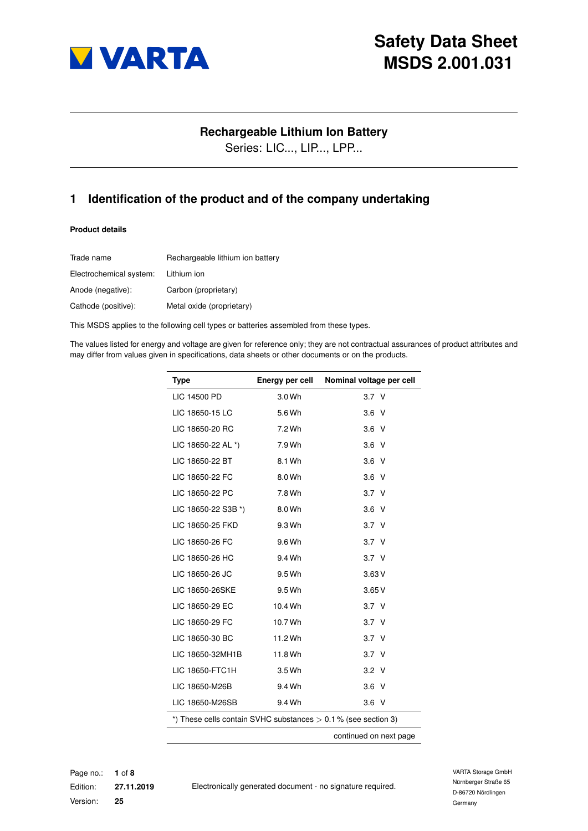

### **Rechargeable Lithium Ion Battery**

Series: LIC..., LIP..., LPP...

## <span id="page-0-0"></span>**1 Identification of the product and of the company undertaking**

### **Product details**

| Trade name              | Rechargeable lithium ion battery |
|-------------------------|----------------------------------|
| Electrochemical system: | Lithium ion                      |
| Anode (negative):       | Carbon (proprietary)             |
| Cathode (positive):     | Metal oxide (proprietary)        |

This MSDS applies to the following cell types or batteries assembled from these types.

The values listed for energy and voltage are given for reference only; they are not contractual assurances of product attributes and may differ from values given in specifications, data sheets or other documents or on the products.

| <b>Type</b>         | Energy per cell | Nominal voltage per cell                                         |
|---------------------|-----------------|------------------------------------------------------------------|
| LIC 14500 PD        | 3.0 Wh          | 3.7 <sub>V</sub>                                                 |
| LIC 18650-15 LC     | 5.6 Wh          | 3.6 <sub>V</sub>                                                 |
| LIC 18650-20 RC     | 7.2 Wh          | 3.6 <sub>V</sub>                                                 |
| LIC 18650-22 AL *)  | 7.9 Wh          | $3.6\quad$                                                       |
| LIC 18650-22 BT     | 8.1 Wh          | 3.6 <sub>V</sub>                                                 |
| LIC 18650-22 FC     | 8.0 Wh          | $3.6\text{ V}$                                                   |
| LIC 18650-22 PC     | 7.8 Wh          | 3.7 <sub>V</sub>                                                 |
| LIC 18650-22 S3B *) | 8.0 Wh          | $3.6\quad$ V                                                     |
| LIC 18650-25 FKD    | 9.3 Wh          | 3.7 <sub>V</sub>                                                 |
| LIC 18650-26 FC     | 9.6 Wh          | 3.7 <sub>V</sub>                                                 |
| LIC 18650-26 HC     | 9.4 Wh          | 3.7 <sub>V</sub>                                                 |
| LIC 18650-26 JC     | 9.5 Wh          | 3.63V                                                            |
| LIC 18650-26SKE     | 9.5 Wh          | 3.65V                                                            |
| LIC 18650-29 EC     | 10.4 Wh         | 3.7 <sub>V</sub>                                                 |
| LIC 18650-29 FC     | 10.7 Wh         | 3.7 <sub>V</sub>                                                 |
| LIC 18650-30 BC     | 11.2 Wh         | 3.7 <sub>V</sub>                                                 |
| LIC 18650-32MH1B    | 11.8 Wh         | 3.7 <sub>V</sub>                                                 |
| LIC 18650-FTC1H     | 3.5 Wh          | $3.2$ V                                                          |
| LIC 18650-M26B      | 9.4 Wh          | 3.6 V                                                            |
| LIC 18650-M26SB     | 9.4 Wh          | $3.6\text{ V}$                                                   |
|                     |                 | *) These cells contain SVHC substances $> 0.1$ % (see section 3) |
|                     |                 | continued on next page                                           |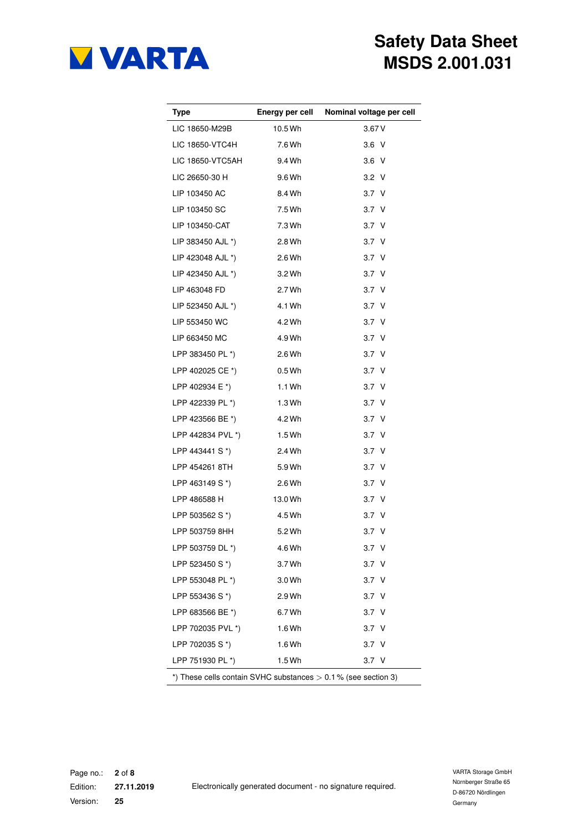

| Type                      |         | Energy per cell Nominal voltage per cell                         |
|---------------------------|---------|------------------------------------------------------------------|
| LIC 18650-M29B            | 10.5 Wh | 3.67V                                                            |
| LIC 18650-VTC4H 7.6 Wh    |         | $3.6\text{ V}$                                                   |
| LIC 18650-VTC5AH 9.4 Wh   |         | 3.6 V                                                            |
| LIC 26650-30 H            | 9.6 Wh  | $3.2\text{ V}$                                                   |
| LIP 103450 AC 8.4 Wh      |         | 3.7 <sub>V</sub>                                                 |
| LIP 103450 SC             | 7.5 Wh  | 3.7 <sub>V</sub>                                                 |
| LIP 103450-CAT            | 7.3 Wh  | 3.7 <sub>V</sub>                                                 |
| LIP 383450 AJL *)         | 2.8 Wh  | 3.7 <sub>V</sub>                                                 |
| LIP 423048 AJL *) 2.6 Wh  |         | 3.7 <sub>V</sub>                                                 |
| LIP 423450 AJL *) 3.2 Wh  |         | 3.7 <sub>V</sub>                                                 |
| LIP 463048 FD             | 2.7 Wh  | 3.7 <sub>V</sub>                                                 |
| LIP 523450 AJL *)         | 4.1 Wh  | 3.7 <sub>V</sub>                                                 |
| LIP 553450 WC             | 4.2 Wh  | 3.7 <sub>V</sub>                                                 |
| LIP 663450 MC             | 4.9 Wh  | 3.7 <sub>V</sub>                                                 |
| LPP 383450 PL *)          | 2.6 Wh  | 3.7 <sub>V</sub>                                                 |
| LPP 402025 CE *) 0.5 Wh   |         | 3.7 <sub>V</sub>                                                 |
| LPP 402934 E *)           | 1.1 Wh  | 3.7 <sub>V</sub>                                                 |
| LPP 422339 PL *)          | 1.3 Wh  | 3.7 <sub>V</sub>                                                 |
| LPP 423566 BE *)          | 4.2 Wh  | 3.7 <sub>V</sub>                                                 |
| LPP 442834 PVL *) 1.5 Wh  |         | 3.7 <sub>V</sub>                                                 |
| LPP 443441 S $*$ ) 2.4 Wh |         | 3.7 <sub>V</sub>                                                 |
| LPP 454261 8TH            | 5.9 Wh  | 3.7 <sub>V</sub>                                                 |
| LPP 463149 S *)           | 2.6 Wh  | 3.7 <sub>V</sub>                                                 |
| LPP 486588 H 13.0 Wh      |         | 3.7 <sub>V</sub>                                                 |
| LPP 503562 S *)           | 4.5 Wh  | 3.7 <sub>V</sub>                                                 |
| LPP 503759 8HH 5.2 Wh     |         | 3.7 <sub>V</sub>                                                 |
| LPP 503759 DL *)          | 4.6 Wh  | 3.7 V                                                            |
| LPP 523450 S *)           | 3.7 Wh  | 3.7 V                                                            |
| LPP 553048 PL *)          | 3.0 Wh  | 3.7 V                                                            |
| LPP 553436 S *)           | 2.9 Wh  | 3.7 V                                                            |
| LPP 683566 BE *)          | 6.7 Wh  | 3.7 V                                                            |
| LPP 702035 PVL *)         | 1.6 Wh  | 3.7 V                                                            |
| LPP 702035 S *)           | 1.6 Wh  | 3.7 <sub>V</sub>                                                 |
| LPP 751930 PL *)          | 1.5 Wh  | 3.7 V                                                            |
|                           |         | *) These cells contain SVHC substances $> 0.1$ % (see section 3) |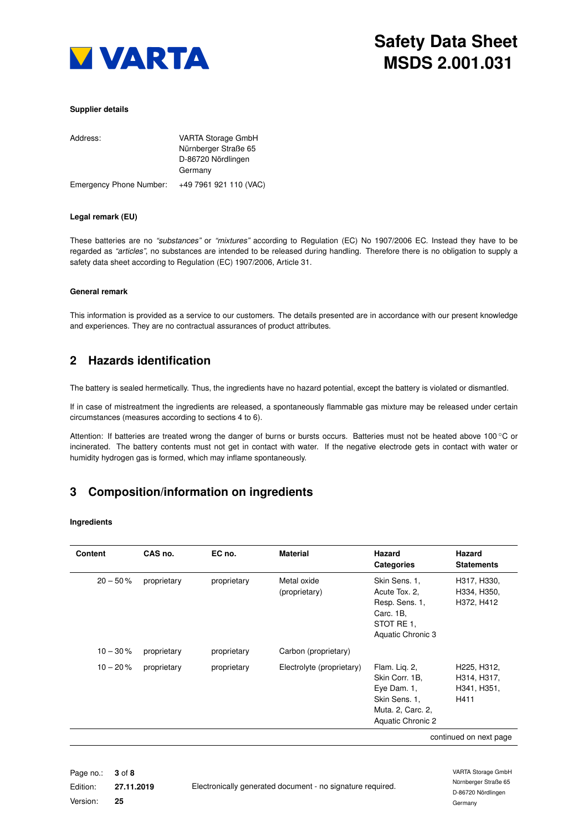

### **Supplier details**

| Address:                | <b>VARTA Storage GmbH</b> |
|-------------------------|---------------------------|
|                         | Nürnberger Straße 65      |
|                         | D-86720 Nördlingen        |
|                         | Germany                   |
| Emergency Phone Number: | +49 7961 921 110 (VAC)    |

### **Legal remark (EU)**

These batteries are no *"substances"* or *"mixtures"* according to Regulation (EC) No 1907/2006 EC. Instead they have to be regarded as *"articles"*, no substances are intended to be released during handling. Therefore there is no obligation to supply a safety data sheet according to Regulation (EC) 1907/2006, Article 31.

#### **General remark**

<span id="page-2-1"></span>This information is provided as a service to our customers. The details presented are in accordance with our present knowledge and experiences. They are no contractual assurances of product attributes.

### **2 Hazards identification**

The battery is sealed hermetically. Thus, the ingredients have no hazard potential, except the battery is violated or dismantled.

If in case of mistreatment the ingredients are released, a spontaneously flammable gas mixture may be released under certain circumstances (measures according to sections [4](#page-3-0) to [6\)](#page-4-0).

Attention: If batteries are treated wrong the danger of burns or bursts occurs. Batteries must not be heated above 100 ◦C or incinerated. The battery contents must not get in contact with water. If the negative electrode gets in contact with water or humidity hydrogen gas is formed, which may inflame spontaneously.

## <span id="page-2-0"></span>**3 Composition/information on ingredients**

#### **Ingredients**

| <b>Content</b> | CAS no.     | EC no.      | <b>Material</b>              | Hazard<br><b>Categories</b>                                                                               | Hazard<br><b>Statements</b>                       |
|----------------|-------------|-------------|------------------------------|-----------------------------------------------------------------------------------------------------------|---------------------------------------------------|
| $20 - 50%$     | proprietary | proprietary | Metal oxide<br>(proprietary) | Skin Sens. 1.<br>Acute Tox. 2.<br>Resp. Sens. 1,<br>Carc. 1B.<br>STOT RE 1.<br>Aquatic Chronic 3          | H317, H330,<br>H334, H350,<br>H372, H412          |
| $10 - 30%$     | proprietary | proprietary | Carbon (proprietary)         |                                                                                                           |                                                   |
| $10 - 20%$     | proprietary | proprietary | Electrolyte (proprietary)    | Flam. Lig. 2,<br>Skin Corr. 1B.<br>Eye Dam. 1,<br>Skin Sens. 1.<br>Muta. 2, Carc. 2,<br>Aquatic Chronic 2 | H225, H312,<br>H314, H317,<br>H341, H351,<br>H411 |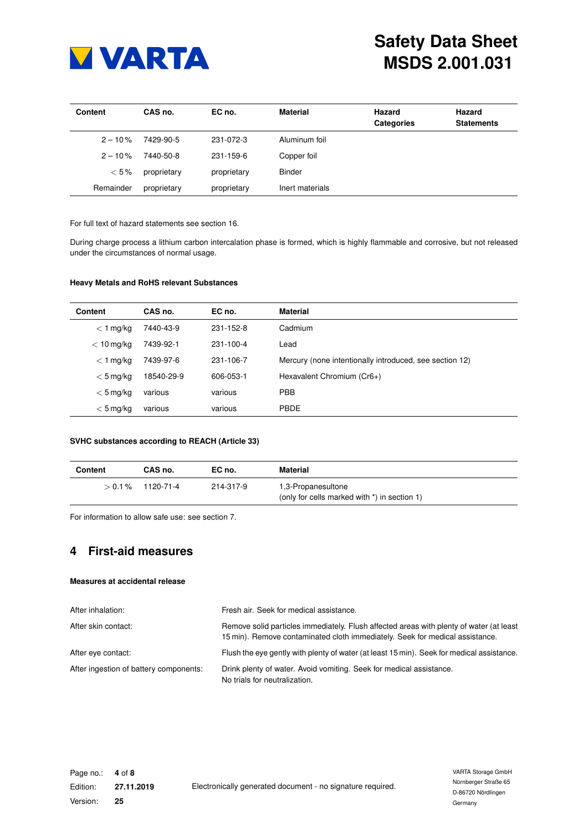

| <b>Content</b> | CAS no.     | EC no.      | <b>Material</b> | Hazard<br><b>Categories</b> | Hazard<br><b>Statements</b> |
|----------------|-------------|-------------|-----------------|-----------------------------|-----------------------------|
| $2 - 10\%$     | 7429-90-5   | 231-072-3   | Aluminum foil   |                             |                             |
| $2 - 10\%$     | 7440-50-8   | 231-159-6   | Copper foil     |                             |                             |
| $< 5\%$        | proprietary | proprietary | <b>Binder</b>   |                             |                             |
| Remainder      | proprietary | proprietary | Inert materials |                             |                             |

For full text of hazard statements see section [16.](#page-7-1)

During charge process a lithium carbon intercalation phase is formed, which is highly flammable and corrosive, but not released under the circumstances of normal usage.

### **Heavy Metals and RoHS relevant Substances**

| <b>Content</b> | CAS no.    | EC no.    | <b>Material</b>                                         |
|----------------|------------|-----------|---------------------------------------------------------|
| $<$ 1 mg/kg    | 7440-43-9  | 231-152-8 | Cadmium                                                 |
| $< 10$ mg/kg   | 7439-92-1  | 231-100-4 | Lead                                                    |
| $<$ 1 mg/kg    | 7439-97-6  | 231-106-7 | Mercury (none intentionally introduced, see section 12) |
| $< 5$ mg/kg    | 18540-29-9 | 606-053-1 | Hexavalent Chromium (Cr6+)                              |
| $< 5$ mg/kg    | various    | various   | <b>PBB</b>                                              |
| $< 5$ mg/kg    | various    | various   | <b>PBDE</b>                                             |

### **SVHC substances according to REACH (Article 33)**

| Content | CAS no.             | EC no.    | Material                                                           |
|---------|---------------------|-----------|--------------------------------------------------------------------|
|         | $> 0.1\%$ 1120-71-4 | 214-317-9 | 1,3-Propanesultone<br>(only for cells marked with *) in section 1) |

<span id="page-3-0"></span>For information to allow safe use: see section [7.](#page-4-1)

## **4 First-aid measures**

### **Measures at accidental release**

<span id="page-3-1"></span>

| After inhalation:                      | Fresh air. Seek for medical assistance.                                                                                                                                 |
|----------------------------------------|-------------------------------------------------------------------------------------------------------------------------------------------------------------------------|
| After skin contact:                    | Remove solid particles immediately. Flush affected areas with plenty of water (at least<br>15 min). Remove contaminated cloth immediately. Seek for medical assistance. |
| After eye contact:                     | Flush the eye gently with plenty of water (at least 15 min). Seek for medical assistance.                                                                               |
| After ingestion of battery components: | Drink plenty of water. Avoid vomiting. Seek for medical assistance.<br>No trials for neutralization.                                                                    |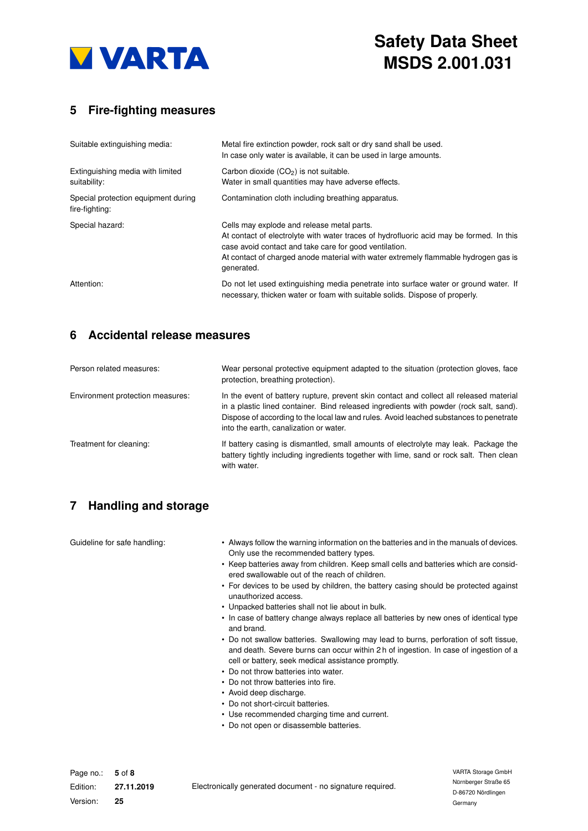

# **5 Fire-fighting measures**

| Suitable extinguishing media:                         | Metal fire extinction powder, rock salt or dry sand shall be used.<br>In case only water is available, it can be used in large amounts.                                                                                                                                                              |
|-------------------------------------------------------|------------------------------------------------------------------------------------------------------------------------------------------------------------------------------------------------------------------------------------------------------------------------------------------------------|
| Extinguishing media with limited<br>suitability:      | Carbon dioxide $(CO2)$ is not suitable.<br>Water in small quantities may have adverse effects.                                                                                                                                                                                                       |
| Special protection equipment during<br>fire-fighting: | Contamination cloth including breathing apparatus.                                                                                                                                                                                                                                                   |
| Special hazard:                                       | Cells may explode and release metal parts.<br>At contact of electrolyte with water traces of hydrofluoric acid may be formed. In this<br>case avoid contact and take care for good ventilation.<br>At contact of charged anode material with water extremely flammable hydrogen gas is<br>generated. |
| Attention:                                            | Do not let used extinguishing media penetrate into surface water or ground water. If<br>necessary, thicken water or foam with suitable solids. Dispose of properly.                                                                                                                                  |

## <span id="page-4-0"></span>**6 Accidental release measures**

| Person related measures:         | Wear personal protective equipment adapted to the situation (protection gloves, face<br>protection, breathing protection).                                                                                                                                                                                            |
|----------------------------------|-----------------------------------------------------------------------------------------------------------------------------------------------------------------------------------------------------------------------------------------------------------------------------------------------------------------------|
| Environment protection measures: | In the event of battery rupture, prevent skin contact and collect all released material<br>in a plastic lined container. Bind released ingredients with powder (rock salt, sand).<br>Dispose of according to the local law and rules. Avoid leached substances to penetrate<br>into the earth, canalization or water. |
| Treatment for cleaning:          | If battery casing is dismantled, small amounts of electrolyte may leak. Package the<br>battery tightly including ingredients together with lime, sand or rock salt. Then clean<br>with water.                                                                                                                         |

# <span id="page-4-1"></span>**7 Handling and storage**

| Guideline for safe handling: | • Always follow the warning information on the batteries and in the manuals of devices.<br>Only use the recommended battery types.<br>• Keep batteries away from children. Keep small cells and batteries which are consid-<br>ered swallowable out of the reach of children.<br>• For devices to be used by children, the battery casing should be protected against<br>unauthorized access.<br>• Unpacked batteries shall not lie about in bulk.<br>• In case of battery change always replace all batteries by new ones of identical type<br>and brand.<br>• Do not swallow batteries. Swallowing may lead to burns, perforation of soft tissue,<br>and death. Severe burns can occur within 2 h of ingestion. In case of ingestion of a<br>cell or battery, seek medical assistance promptly.<br>• Do not throw batteries into water.<br>• Do not throw batteries into fire.<br>• Avoid deep discharge.<br>• Do not short-circuit batteries.<br>• Use recommended charging time and current.<br>• Do not open or disassemble batteries. |
|------------------------------|---------------------------------------------------------------------------------------------------------------------------------------------------------------------------------------------------------------------------------------------------------------------------------------------------------------------------------------------------------------------------------------------------------------------------------------------------------------------------------------------------------------------------------------------------------------------------------------------------------------------------------------------------------------------------------------------------------------------------------------------------------------------------------------------------------------------------------------------------------------------------------------------------------------------------------------------------------------------------------------------------------------------------------------------|
|                              |                                                                                                                                                                                                                                                                                                                                                                                                                                                                                                                                                                                                                                                                                                                                                                                                                                                                                                                                                                                                                                             |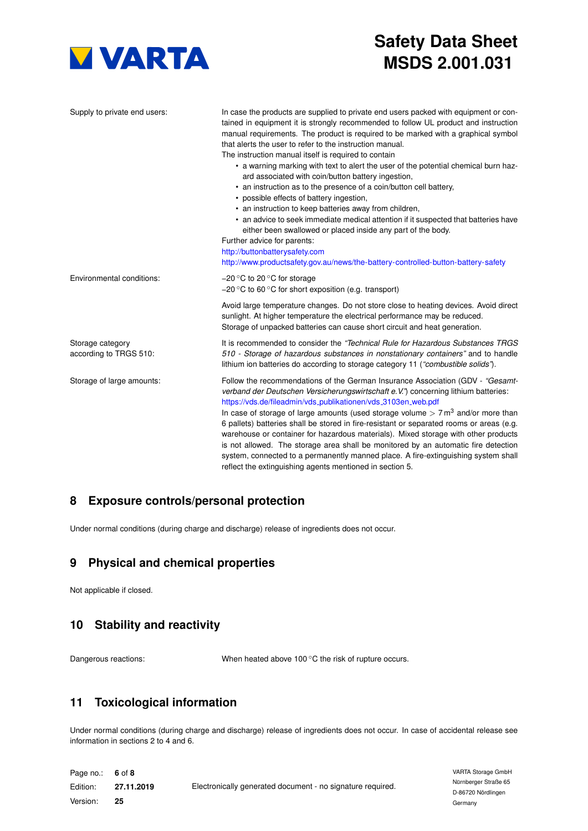

| Supply to private end users:               | In case the products are supplied to private end users packed with equipment or con-<br>tained in equipment it is strongly recommended to follow UL product and instruction<br>manual requirements. The product is required to be marked with a graphical symbol<br>that alerts the user to refer to the instruction manual.<br>The instruction manual itself is required to contain<br>• a warning marking with text to alert the user of the potential chemical burn haz-<br>ard associated with coin/button battery ingestion,<br>• an instruction as to the presence of a coin/button cell battery,<br>• possible effects of battery ingestion,<br>• an instruction to keep batteries away from children,<br>• an advice to seek immediate medical attention if it suspected that batteries have<br>either been swallowed or placed inside any part of the body.<br>Further advice for parents:<br>http://buttonbatterysafety.com<br>http://www.productsafety.gov.au/news/the-battery-controlled-button-battery-safety |
|--------------------------------------------|----------------------------------------------------------------------------------------------------------------------------------------------------------------------------------------------------------------------------------------------------------------------------------------------------------------------------------------------------------------------------------------------------------------------------------------------------------------------------------------------------------------------------------------------------------------------------------------------------------------------------------------------------------------------------------------------------------------------------------------------------------------------------------------------------------------------------------------------------------------------------------------------------------------------------------------------------------------------------------------------------------------------------|
| Environmental conditions:                  | $-20$ °C to 20 °C for storage<br>$-20$ °C to 60 °C for short exposition (e.g. transport)                                                                                                                                                                                                                                                                                                                                                                                                                                                                                                                                                                                                                                                                                                                                                                                                                                                                                                                                   |
|                                            | Avoid large temperature changes. Do not store close to heating devices. Avoid direct<br>sunlight. At higher temperature the electrical performance may be reduced.<br>Storage of unpacked batteries can cause short circuit and heat generation.                                                                                                                                                                                                                                                                                                                                                                                                                                                                                                                                                                                                                                                                                                                                                                           |
| Storage category<br>according to TRGS 510: | It is recommended to consider the "Technical Rule for Hazardous Substances TRGS<br>510 - Storage of hazardous substances in nonstationary containers" and to handle<br>lithium ion batteries do according to storage category 11 ("combustible solids").                                                                                                                                                                                                                                                                                                                                                                                                                                                                                                                                                                                                                                                                                                                                                                   |
| Storage of large amounts:                  | Follow the recommendations of the German Insurance Association (GDV - "Gesamt-<br>verband der Deutschen Versicherungswirtschaft e. V.") concerning lithium batteries:<br>https://vds.de/fileadmin/vds_publikationen/vds_3103en_web.pdf<br>In case of storage of large amounts (used storage volume $> 7 \text{ m}^3$ and/or more than<br>6 pallets) batteries shall be stored in fire-resistant or separated rooms or areas (e.g.<br>warehouse or container for hazardous materials). Mixed storage with other products<br>is not allowed. The storage area shall be monitored by an automatic fire detection<br>system, connected to a permanently manned place. A fire-extinguishing system shall<br>reflect the extinguishing agents mentioned in section 5.                                                                                                                                                                                                                                                            |

# **8 Exposure controls/personal protection**

Under normal conditions (during charge and discharge) release of ingredients does not occur.

# **9 Physical and chemical properties**

Not applicable if closed.

# **10 Stability and reactivity**

Dangerous reactions: When heated above 100 °C the risk of rupture occurs.

## **11 Toxicological information**

Under normal conditions (during charge and discharge) release of ingredients does not occur. In case of accidental release see information in sections [2](#page-2-1) to [4](#page-3-0) and [6.](#page-4-0)

| Page no.: 6 of 8 |            |                                                            | VARTA Storage GmbH            |
|------------------|------------|------------------------------------------------------------|-------------------------------|
| Edition:         | 27.11.2019 | Electronically generated document - no signature required. | Nürnberger Straße 65          |
| Version:         | 25         |                                                            | D-86720 Nördlingen<br>Germany |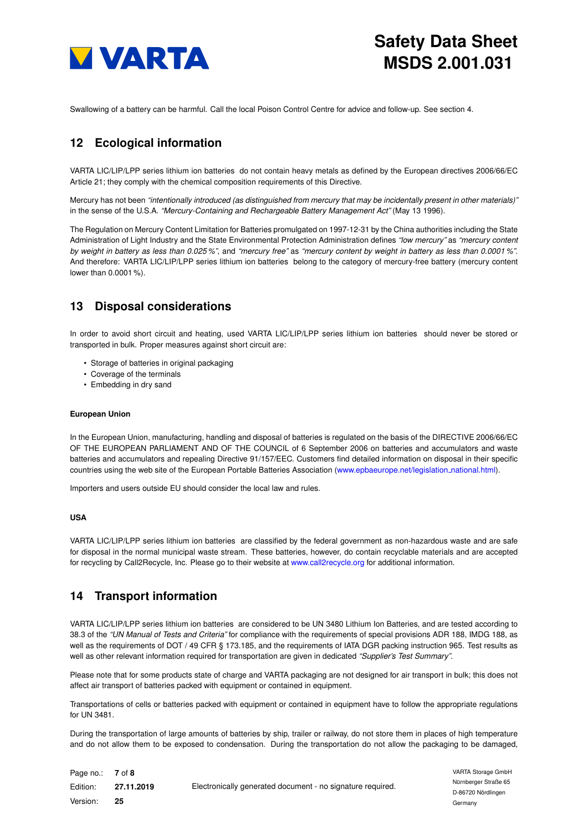

<span id="page-6-0"></span>Swallowing of a battery can be harmful. Call the local Poison Control Centre for advice and follow-up. See section [4.](#page-3-0)

# **12 Ecological information**

VARTA LIC/LIP/LPP series lithium ion batteries do not contain heavy metals as defined by the European directives 2006/66/EC Article 21; they comply with the chemical composition requirements of this Directive.

Mercury has not been *"intentionally introduced (as distinguished from mercury that may be incidentally present in other materials)"* in the sense of the U.S.A. *"Mercury-Containing and Rechargeable Battery Management Act"* (May 13 1996).

The Regulation on Mercury Content Limitation for Batteries promulgated on 1997-12-31 by the China authorities including the State Administration of Light Industry and the State Environmental Protection Administration defines *"low mercury"* as *"mercury content by weight in battery as less than 0.025 %"*, and *"mercury free"* as *"mercury content by weight in battery as less than 0.0001 %"*. And therefore: VARTA LIC/LIP/LPP series lithium ion batteries belong to the category of mercury-free battery (mercury content lower than 0.0001 %).

# **13 Disposal considerations**

In order to avoid short circuit and heating, used VARTA LIC/LIP/LPP series lithium ion batteries should never be stored or transported in bulk. Proper measures against short circuit are:

- Storage of batteries in original packaging
- Coverage of the terminals
- Embedding in dry sand

### **European Union**

In the European Union, manufacturing, handling and disposal of batteries is regulated on the basis of the DIRECTIVE 2006/66/EC OF THE EUROPEAN PARLIAMENT AND OF THE COUNCIL of 6 September 2006 on batteries and accumulators and waste batteries and accumulators and repealing Directive 91/157/EEC. Customers find detailed information on disposal in their specific countries using the web site of the European Portable Batteries Association [\(www.epbaeurope.net/legislation](www.epbaeurope.net/legislation_national.html)\_national.html).

Importers and users outside EU should consider the local law and rules.

### **USA**

VARTA LIC/LIP/LPP series lithium ion batteries are classified by the federal government as non-hazardous waste and are safe for disposal in the normal municipal waste stream. These batteries, however, do contain recyclable materials and are accepted for recycling by Call2Recycle, Inc. Please go to their website at <www.call2recycle.org> for additional information.

## <span id="page-6-1"></span>**14 Transport information**

VARTA LIC/LIP/LPP series lithium ion batteries are considered to be UN 3480 Lithium Ion Batteries, and are tested according to 38.3 of the *"UN Manual of Tests and Criteria"* for compliance with the requirements of special provisions ADR 188, IMDG 188, as well as the requirements of DOT / 49 CFR § 173.185, and the requirements of IATA DGR packing instruction 965. Test results as well as other relevant information required for transportation are given in dedicated *"Supplier's Test Summary"*.

Please note that for some products state of charge and VARTA packaging are not designed for air transport in bulk; this does not affect air transport of batteries packed with equipment or contained in equipment.

Transportations of cells or batteries packed with equipment or contained in equipment have to follow the appropriate regulations for UN 3481.

During the transportation of large amounts of batteries by ship, trailer or railway, do not store them in places of high temperature and do not allow them to be exposed to condensation. During the transportation do not allow the packaging to be damaged,

| Page no.: 7 of 8 |            |                                                            |
|------------------|------------|------------------------------------------------------------|
| Edition:         | 27.11.2019 | Electronically generated document - no signature required. |
| Version:         | 25         |                                                            |